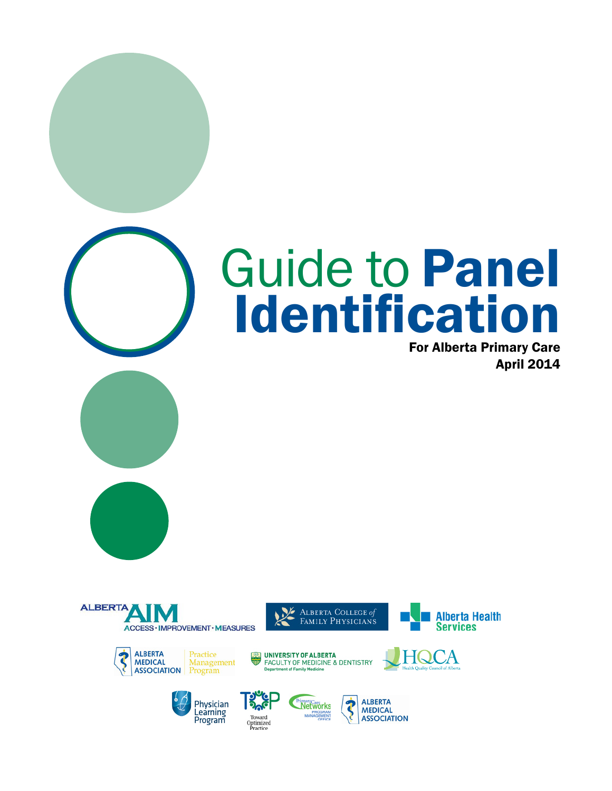# Guide to Panel Identification

For Alberta Primary Care April 2014













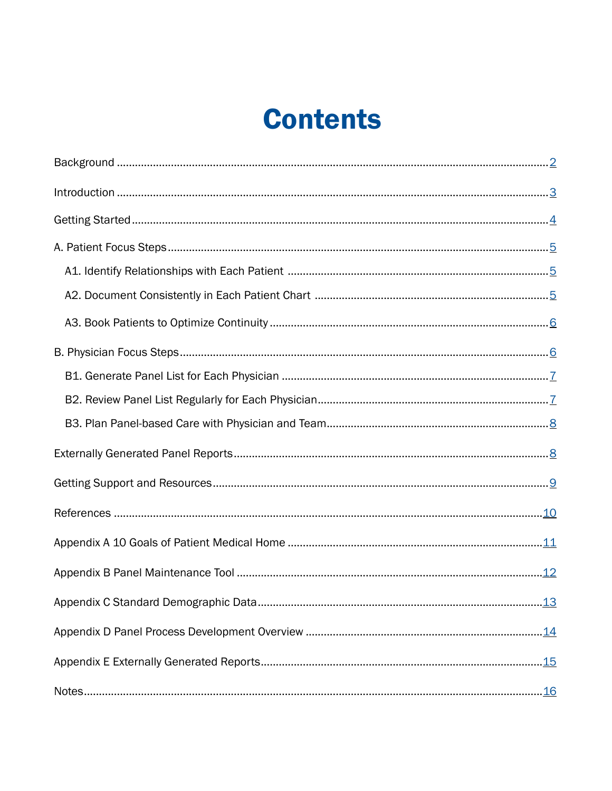### **Contents**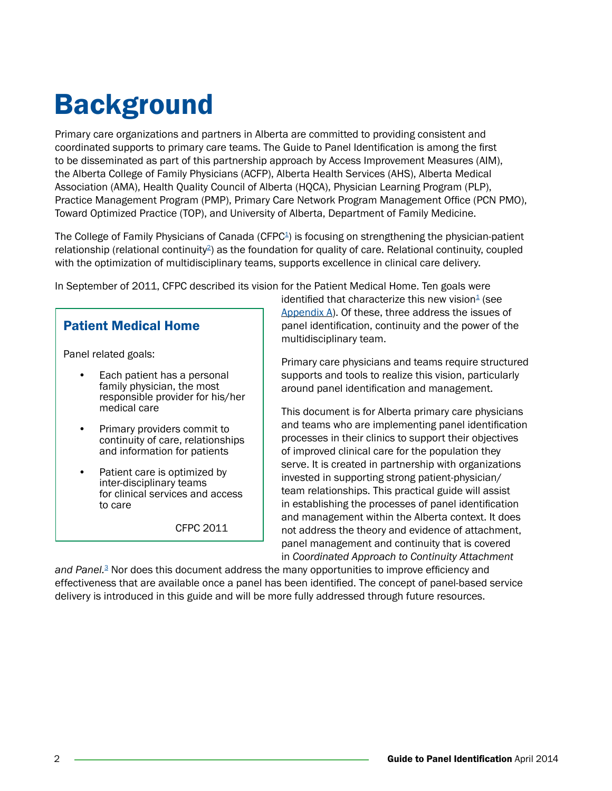### <span id="page-3-0"></span>Background

Primary care organizations and partners in Alberta are committed to providing consistent and coordinated supports to primary care teams. The Guide to Panel Identification is among the first to be disseminated as part of this partnership approach by Access Improvement Measures (AIM), the Alberta College of Family Physicians (ACFP), Alberta Health Services (AHS), Alberta Medical Association (AMA), Health Quality Council of Alberta (HQCA), Physician Learning Program (PLP), Practice Management Program (PMP), Primary Care Network Program Management Office (PCN PMO), Toward Optimized Practice (TOP), and University of Alberta, Department of Family Medicine.

The College of Family Physicians of Canada (CFPC<sup>1</sup>) is focusing on strengthening the physician-patient relationship (relational continuity<sup>2</sup>) as the foundation for quality of care. Relational continuity, coupled with the optimization of multidisciplinary teams, supports excellence in clinical care delivery.

In September of 2011, CFPC described its vision for the Patient Medical Home. Ten goals were

#### Patient Medical Home

Panel related goals:

- Each patient has a personal family physician, the most responsible provider for his/her medical care
- Primary providers commit to continuity of care, relationships and information for patients
- Patient care is optimized by inter-disciplinary teams for clinical services and access to care

CFPC 2011

identified that characterize this new vision $4$  (see [Appendix A\).](#page-12-0) Of these, three address the issues of panel identification, continuity and the power of the multidisciplinary team.

Primary care physicians and teams require structured supports and tools to realize this vision, particularly around panel identification and management.

This document is for Alberta primary care physicians and teams who are implementing panel identification processes in their clinics to support their objectives of improved clinical care for the population they serve. It is created in partnership with organizations invested in supporting strong patient-physician/ team relationships. This practical guide will assist in establishing the processes of panel identification and management within the Alberta context. It does not address the theory and evidence of attachment, panel management and continuity that is covered in *Coordinated Approach to Continuity Attachment* 

*and Panel.*[3](#page-11-0) Nor does this document address the many opportunities to improve efficiency and effectiveness that are available once a panel has been identified. The concept of panel-based service delivery is introduced in this guide and will be more fully addressed through future resources.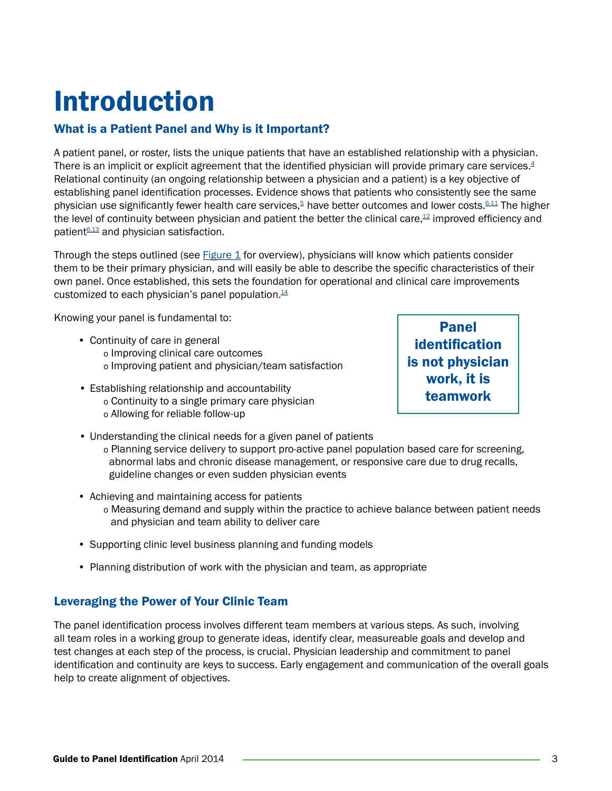## <span id="page-4-0"></span>Introduction

#### What is a Patient Panel and Why is it Important?

A patient panel, or roster, lists the unique patients that have an established relationship with a physician. There is an implicit or explicit agreement that the identified physician will provide primary care services. $4$ Relational continuity (an ongoing relationship between a physician and a patient) is a key objective of establishing panel identification processes. Evidence shows that patients who consistently see the same physician use significantly fewer health care services.<sup>[5](#page-11-0)</sup> have better outcomes and lower costs.<sup>6-11</sup> The higher the level of continuity between physician and patient the better the clinical care, $12$  improved efficiency and patient<sup>[6,13](#page-11-0)</sup> and physician satisfaction.

Through the steps outlined (see [Figure 1](#page-5-0) for overview), physicians will know which patients consider them to be their primary physician, and will easily be able to describe the specific characteristics of their own panel. Once established, this sets the foundation for operational and clinical care improvements customized to each physician's panel population. $14$ 

Knowing your panel is fundamental to:

- Continuity of care in general o Improving clinical care outcomes o Improving patient and physician/team satisfaction
- Establishing relationship and accountability o Continuity to a single primary care physician o Allowing for reliable follow-up

Panel identification is not physician work, it is teamwork

- Understanding the clinical needs for a given panel of patients o Planning service delivery to support pro-active panel population based care for screening, abnormal labs and chronic disease management, or responsive care due to drug recalls, guideline changes or even sudden physician events
- Achieving and maintaining access for patients o Measuring demand and supply within the practice to achieve balance between patient needs and physician and team ability to deliver care
- Supporting clinic level business planning and funding models
- Planning distribution of work with the physician and team, as appropriate

#### Leveraging the Power of Your Clinic Team

The panel identification process involves different team members at various steps. As such, involving all team roles in a working group to generate ideas, identify clear, measureable goals and develop and test changes at each step of the process, is crucial. Physician leadership and commitment to panel identification and continuity are keys to success. Early engagement and communication of the overall goals help to create alignment of objectives.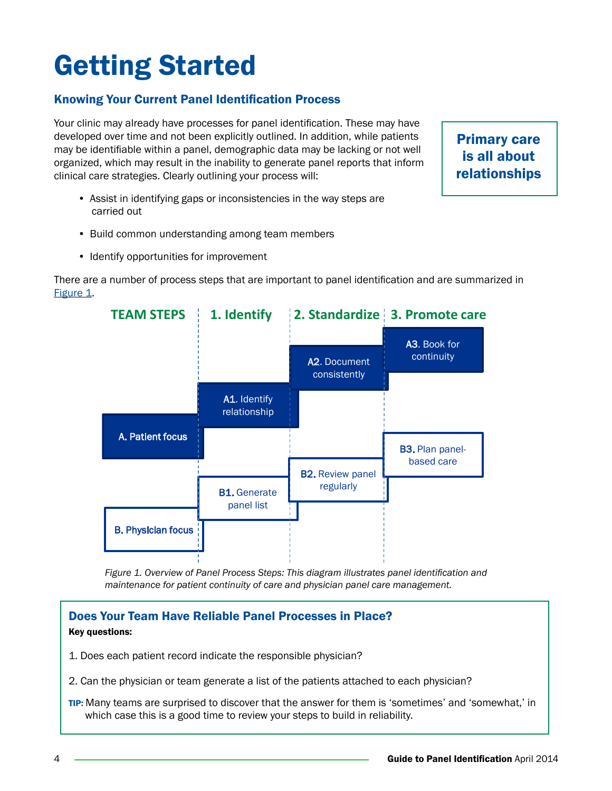# <span id="page-5-0"></span>Getting Started

#### Knowing Your Current Panel Identification Process

Your clinic may already have processes for panel identification. These may have developed over time and not been explicitly outlined. In addition, while patients may be identifiable within a panel, demographic data may be lacking or not well organized, which may result in the inability to generate panel reports that inform clinical care strategies. Clearly outlining your process will:

- Assist in identifying gaps or inconsistencies in the way steps are carried out
- Build common understanding among team members
- Identify opportunities for improvement

There are a number of process steps that are important to panel identification and are summarized in Figure 1.



*Figure 1. Overview of Panel Process Steps: This diagram illustrates panel identification and maintenance for patient continuity of care and physician panel care management.* 

#### Does Your Team Have Reliable Panel Processes in Place? Key questions:

#### 1. Does each patient record indicate the responsible physician?

- 2. Can the physician or team generate a list of the patients attached to each physician?
- TIP: Many teams are surprised to discover that the answer for them is 'sometimes' and 'somewhat,' in which case this is a good time to review your steps to build in reliability.

Primary care is all about relationships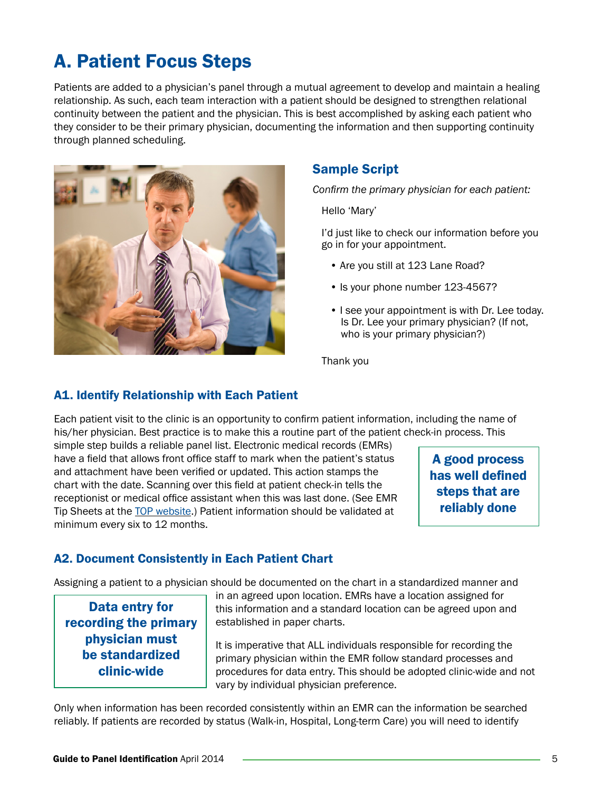### <span id="page-6-0"></span>A. Patient Focus Steps

Patients are added to a physician's panel through a mutual agreement to develop and maintain a healing relationship. As such, each team interaction with a patient should be designed to strengthen relational continuity between the patient and the physician. This is best accomplished by asking each patient who they consider to be their primary physician, documenting the information and then supporting continuity through planned scheduling.



#### Sample Script

*Confirm the primary physician for each patient:* 

Hello 'Mary'

I'd just like to check our information before you go in for your appointment.

- Are you still at 123 Lane Road?
- Is your phone number 123-4567?
- I see your appointment is with Dr. Lee today. Is Dr. Lee your primary physician? (If not, who is your primary physician?)

Thank you

#### A1. Identify Relationship with Each Patient

Each patient visit to the clinic is an opportunity to confirm patient information, including the name of his/her physician. Best practice is to make this a routine part of the patient check-in process. This

simple step builds a reliable panel list. Electronic medical records (EMRs) have a field that allows front office staff to mark when the patient's status and attachment have been verified or updated. This action stamps the chart with the date. Scanning over this field at patient check-in tells the receptionist or medical office assistant when this was last done. (See EMR Tip Sheets at the [TOP website](http://www.topalbertadoctors.org/asap/resourcestools/emrkt/).) Patient information should be validated at minimum every six to 12 months.

A good process has well defined steps that are reliably done

#### A2. Document Consistently in Each Patient Chart

Assigning a patient to a physician should be documented on the chart in a standardized manner and

Data entry for recording the primary physician must be standardized clinic-wide

in an agreed upon location. EMRs have a location assigned for this information and a standard location can be agreed upon and established in paper charts.

It is imperative that ALL individuals responsible for recording the primary physician within the EMR follow standard processes and procedures for data entry. This should be adopted clinic-wide and not vary by individual physician preference.

Only when information has been recorded consistently within an EMR can the information be searched reliably. If patients are recorded by status (Walk-in, Hospital, Long-term Care) you will need to identify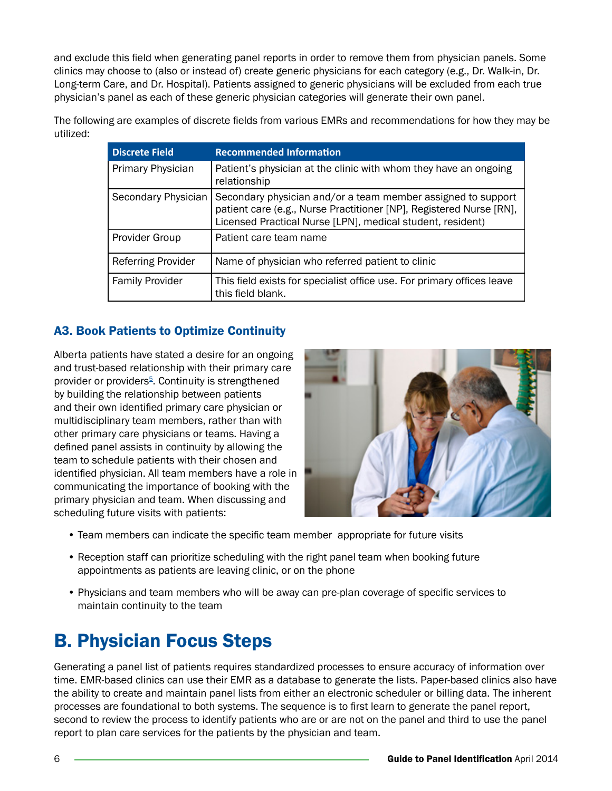<span id="page-7-0"></span>and exclude this field when generating panel reports in order to remove them from physician panels. Some clinics may choose to (also or instead of) create generic physicians for each category (e.g., Dr. Walk-in, Dr. Long-term Care, and Dr. Hospital). Patients assigned to generic physicians will be excluded from each true physician's panel as each of these generic physician categories will generate their own panel.

The following are examples of discrete fields from various EMRs and recommendations for how they may be utilized:

| <b>Discrete Field</b>     | <b>Recommended Information</b>                                                                                                                                                                    |
|---------------------------|---------------------------------------------------------------------------------------------------------------------------------------------------------------------------------------------------|
| Primary Physician         | Patient's physician at the clinic with whom they have an ongoing<br>relationship                                                                                                                  |
| Secondary Physician       | Secondary physician and/or a team member assigned to support<br>patient care (e.g., Nurse Practitioner [NP], Registered Nurse [RN],<br>Licensed Practical Nurse [LPN], medical student, resident) |
| Provider Group            | Patient care team name                                                                                                                                                                            |
| <b>Referring Provider</b> | Name of physician who referred patient to clinic                                                                                                                                                  |
| <b>Family Provider</b>    | This field exists for specialist office use. For primary offices leave<br>this field blank.                                                                                                       |

#### A3. Book Patients to Optimize Continuity

Alberta patients have stated a desire for an ongoing and trust-based relationship with their primary care provider or providers<sup>5</sup>. Continuity is strengthened by building the relationship between patients and their own identified primary care physician or multidisciplinary team members, rather than with other primary care physicians or teams. Having a defined panel assists in continuity by allowing the team to schedule patients with their chosen and identified physician. All team members have a role in communicating the importance of booking with the primary physician and team. When discussing and scheduling future visits with patients:



- Team members can indicate the specific team member appropriate for future visits
- Reception staff can prioritize scheduling with the right panel team when booking future appointments as patients are leaving clinic, or on the phone
- Physicians and team members who will be away can pre-plan coverage of specific services to maintain continuity to the team

### B. Physician Focus Steps

Generating a panel list of patients requires standardized processes to ensure accuracy of information over time. EMR-based clinics can use their EMR as a database to generate the lists. Paper-based clinics also have the ability to create and maintain panel lists from either an electronic scheduler or billing data. The inherent processes are foundational to both systems. The sequence is to first learn to generate the panel report, second to review the process to identify patients who are or are not on the panel and third to use the panel report to plan care services for the patients by the physician and team.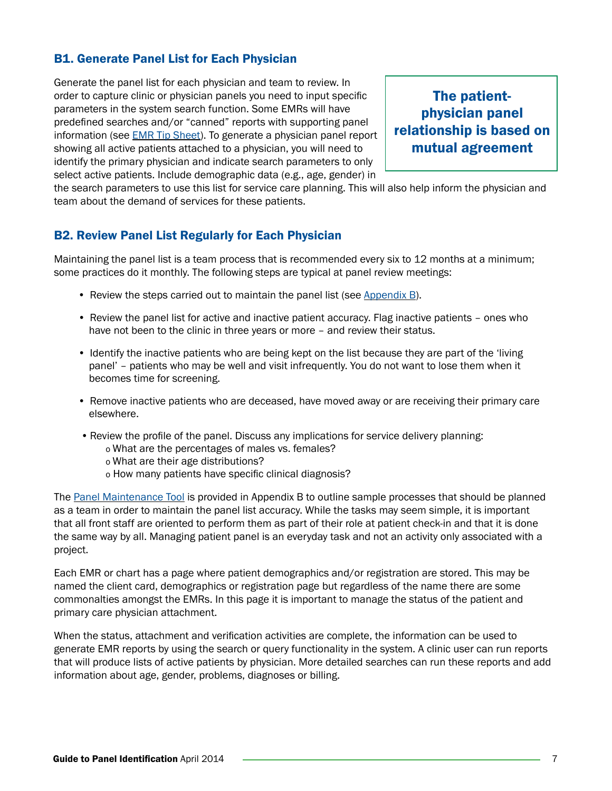#### <span id="page-8-0"></span>B1. Generate Panel List for Each Physician

Generate the panel list for each physician and team to review. In order to capture clinic or physician panels you need to input specific parameters in the system search function. Some EMRs will have predefined searches and/or "canned" reports with supporting panel information (see **[EMR Tip Sheet](http://www.topalbertadoctors.org/asap/resourcestools/emrkt/))**. To generate a physician panel report showing all active patients attached to a physician, you will need to identify the primary physician and indicate search parameters to only select active patients. Include demographic data (e.g., age, gender) in

The patientphysician panel relationship is based on mutual agreement

the search parameters to use this list for service care planning. This will also help inform the physician and team about the demand of services for these patients.

#### B2. Review Panel List Regularly for Each Physician

Maintaining the panel list is a team process that is recommended every six to 12 months at a minimum; some practices do it monthly. The following steps are typical at panel review meetings:

- Review the steps carried out to maintain the panel list (see [Appendix B](#page-13-0)).
- Review the panel list for active and inactive patient accuracy. Flag inactive patients ones who have not been to the clinic in three years or more – and review their status.
- Identify the inactive patients who are being kept on the list because they are part of the 'living panel' – patients who may be well and visit infrequently. You do not want to lose them when it becomes time for screening.
- Remove inactive patients who are deceased, have moved away or are receiving their primary care elsewhere.
- Review the profile of the panel. Discuss any implications for service delivery planning:
	- o What are the percentages of males vs. females?
	- o What are their age distributions?
	- o How many patients have specific clinical diagnosis?

The [Panel Maintenance Tool](#page-13-0) is provided in Appendix B to outline sample processes that should be planned as a team in order to maintain the panel list accuracy. While the tasks may seem simple, it is important that all front staff are oriented to perform them as part of their role at patient check-in and that it is done the same way by all. Managing patient panel is an everyday task and not an activity only associated with a project.

Each EMR or chart has a page where patient demographics and/or registration are stored. This may be named the client card, demographics or registration page but regardless of the name there are some commonalties amongst the EMRs. In this page it is important to manage the status of the patient and primary care physician attachment.

When the status, attachment and verification activities are complete, the information can be used to generate EMR reports by using the search or query functionality in the system. A clinic user can run reports that will produce lists of active patients by physician. More detailed searches can run these reports and add information about age, gender, problems, diagnoses or billing.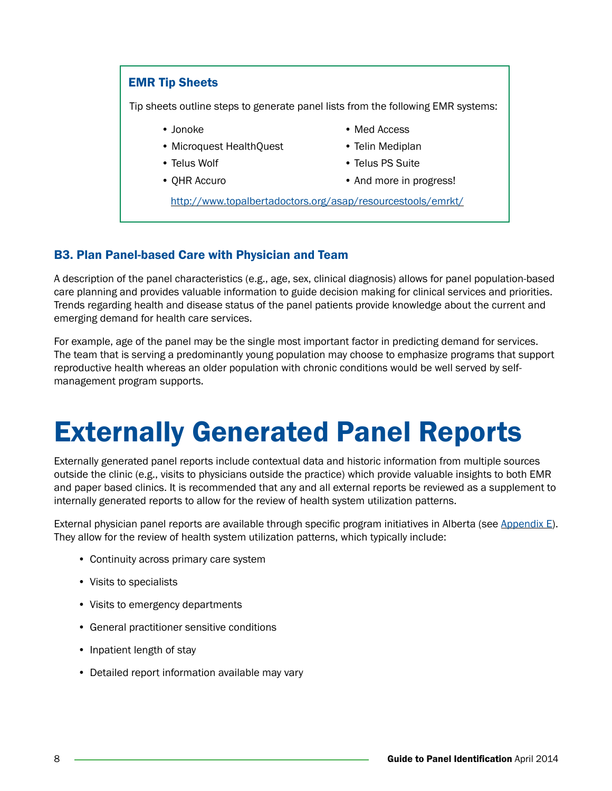#### <span id="page-9-0"></span>EMR Tip Sheets

Tip sheets outline steps to generate panel lists from the following EMR systems:

- 
- Microquest HealthQuest Telin Mediplan
- 
- 
- Jonoke Med Access
	-
- Telus Wolf Telus PS Suite
- QHR Accuro And more in progress!

<http://www.topalbertadoctors.org/asap/resourcestools/emrkt/>

#### B3. Plan Panel-based Care with Physician and Team

A description of the panel characteristics (e.g., age, sex, clinical diagnosis) allows for panel population-based care planning and provides valuable information to guide decision making for clinical services and priorities. Trends regarding health and disease status of the panel patients provide knowledge about the current and emerging demand for health care services.

For example, age of the panel may be the single most important factor in predicting demand for services. The team that is serving a predominantly young population may choose to emphasize programs that support reproductive health whereas an older population with chronic conditions would be well served by selfmanagement program supports.

### Externally Generated Panel Reports

Externally generated panel reports include contextual data and historic information from multiple sources outside the clinic (e.g., visits to physicians outside the practice) which provide valuable insights to both EMR and paper based clinics. It is recommended that any and all external reports be reviewed as a supplement to internally generated reports to allow for the review of health system utilization patterns.

External physician panel reports are available through specific program initiatives in Alberta (see [Appendix E\)](#page-16-0). They allow for the review of health system utilization patterns, which typically include:

- Continuity across primary care system
- Visits to specialists
- Visits to emergency departments
- General practitioner sensitive conditions
- Inpatient length of stay
- Detailed report information available may vary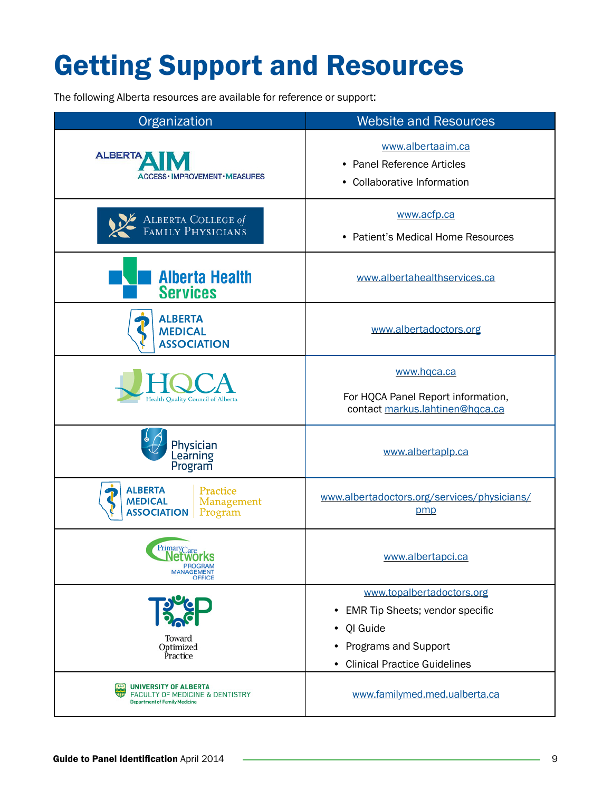## <span id="page-10-0"></span>Getting Support and Resources

The following Alberta resources are available for reference or support:

| Organization                                                                                                | <b>Website and Resources</b>                                                                                                                                          |  |
|-------------------------------------------------------------------------------------------------------------|-----------------------------------------------------------------------------------------------------------------------------------------------------------------------|--|
| <b>ALBERTA</b><br>ACCESS · IMPROVEMENT · MEASURES-                                                          | www.albertaaim.ca<br>• Panel Reference Articles<br>• Collaborative Information                                                                                        |  |
| ALBERTA COLLEGE of FAMILY PHYSICIANS                                                                        | www.acfp.ca<br>• Patient's Medical Home Resources                                                                                                                     |  |
| <b>Alberta Health</b><br><b>Services</b>                                                                    | www.albertahealthservices.ca                                                                                                                                          |  |
| <b>ALBERTA</b><br><b>MEDICAL</b><br><b>ASSOCIATION</b>                                                      | www.albertadoctors.org                                                                                                                                                |  |
| Health Quality Council of Alberta                                                                           | www.hqca.ca<br>For HQCA Panel Report information,<br>contact markus.lahtinen@hqca.ca                                                                                  |  |
| Physician<br>Learning<br>Program                                                                            | www.albertaplp.ca                                                                                                                                                     |  |
| <b>ALBERTA</b><br>Practice<br><b>MEDICAL</b><br>Management<br><b>ASSOCIATION</b><br>Program                 | www.albertadoctors.org/services/physicians/<br>pmp                                                                                                                    |  |
| <b>PrimaryCare</b><br><b>Networks</b><br><b>PROGRAM</b><br><b>MANAGEMENT</b><br>OFFICE                      | www.albertapci.ca                                                                                                                                                     |  |
| Toward<br>Optimized<br>Practice                                                                             | www.topalbertadoctors.org<br><b>EMR Tip Sheets; vendor specific</b><br>$\bullet$<br>QI Guide<br>٠<br>Programs and Support<br>٠<br><b>Clinical Practice Guidelines</b> |  |
| UNIVERSITY OF ALBERTA<br><b>FACULTY OF MEDICINE &amp; DENTISTRY</b><br><b>Department of Family Medicine</b> | www.familymed.med.ualberta.ca                                                                                                                                         |  |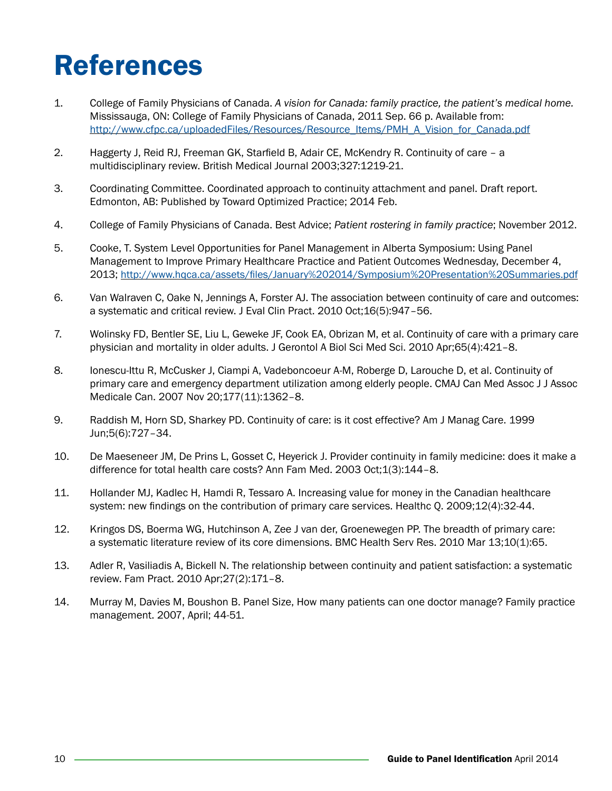## <span id="page-11-0"></span>References

- 1. College of Family Physicians of Canada. *A vision for Canada: family practice, the patient's medical home.* Mississauga, ON: College of Family Physicians of Canada, 2011 Sep. 66 p. Available from: [http://www.cfpc.ca/uploadedFiles/Resources/Resource\\_Items/PMH\\_A\\_Vision\\_for\\_Canada.pdf](http://www.cfpc.ca/uploadedFiles/Resources/Resource_Items/PMH_A_Vision_for_Canada.pdf)
- 2. Haggerty J, Reid RJ, Freeman GK, Starfield B, Adair CE, McKendry R. Continuity of care a multidisciplinary review. British Medical Journal 2003;327:1219-21.
- 3. Coordinating Committee. Coordinated approach to continuity attachment and panel. Draft report. Edmonton, AB: Published by Toward Optimized Practice; 2014 Feb.
- 4. College of Family Physicians of Canada. Best Advice; *Patient rostering in family practice*; November 2012.
- 5. Cooke, T. System Level Opportunities for Panel Management in Alberta Symposium: Using Panel [Management to Improve Primary Healthcare Practice and Patient Outcomes Wednesday, December 4,](http://www.hqca.ca/assets/files/January%202014/Symposium%20Presentation%20Summaries.pdf)  2013; [http://www.hqca.ca/assets/files/January%202014/Symposium%20Presentation%20Summaries.pdf](http://www.hqca.ca/assets/files/January%25202014/Symposium%2520Presentation%2520Summaries.pdf)
- 6. Van Walraven C, Oake N, Jennings A, Forster AJ. The association between continuity of care and outcomes: a systematic and critical review. J Eval Clin Pract. 2010 Oct;16(5):947–56.
- 7. Wolinsky FD, Bentler SE, Liu L, Geweke JF, Cook EA, Obrizan M, et al. Continuity of care with a primary care physician and mortality in older adults. J Gerontol A Biol Sci Med Sci. 2010 Apr;65(4):421–8.
- 8. Ionescu-Ittu R, McCusker J, Ciampi A, Vadeboncoeur A-M, Roberge D, Larouche D, et al. Continuity of primary care and emergency department utilization among elderly people. CMAJ Can Med Assoc J J Assoc Medicale Can. 2007 Nov 20;177(11):1362–8.
- 9. Raddish M, Horn SD, Sharkey PD. Continuity of care: is it cost effective? Am J Manag Care. 1999 Jun;5(6):727–34.
- 10. De Maeseneer JM, De Prins L, Gosset C, Heyerick J. Provider continuity in family medicine: does it make a difference for total health care costs? Ann Fam Med. 2003 Oct;1(3):144–8.
- 11. Hollander MJ, Kadlec H, Hamdi R, Tessaro A. Increasing value for money in the Canadian healthcare system: new findings on the contribution of primary care services. Healthc Q. 2009;12(4):32-44.
- 12. Kringos DS, Boerma WG, Hutchinson A, Zee J van der, Groenewegen PP. The breadth of primary care: a systematic literature review of its core dimensions. BMC Health Serv Res. 2010 Mar 13;10(1):65.
- 13. Adler R, Vasiliadis A, Bickell N. The relationship between continuity and patient satisfaction: a systematic review. Fam Pract. 2010 Apr;27(2):171–8.
- 14. Murray M, Davies M, Boushon B. Panel Size, How many patients can one doctor manage? Family practice management. 2007, April; 44-51.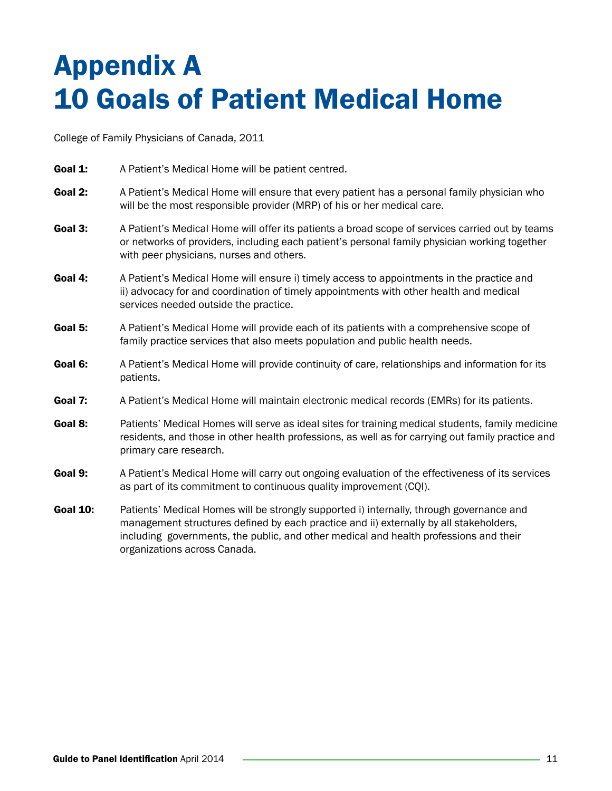### <span id="page-12-0"></span>Appendix A 10 Goals of Patient Medical Home

College of Family Physicians of Canada, 2011

- **Goal 1:** A Patient's Medical Home will be patient centred.
- Goal 2: A Patient's Medical Home will ensure that every patient has a personal family physician who will be the most responsible provider (MRP) of his or her medical care.
- Goal 3: A Patient's Medical Home will offer its patients a broad scope of services carried out by teams or networks of providers, including each patient's personal family physician working together with peer physicians, nurses and others.
- Goal 4: A Patient's Medical Home will ensure i) timely access to appointments in the practice and ii) advocacy for and coordination of timely appointments with other health and medical services needed outside the practice.
- Goal 5: A Patient's Medical Home will provide each of its patients with a comprehensive scope of family practice services that also meets population and public health needs.
- Goal 6: A Patient's Medical Home will provide continuity of care, relationships and information for its patients.
- Goal 7: A Patient's Medical Home will maintain electronic medical records (EMRs) for its patients.
- Goal 8: Patients' Medical Homes will serve as ideal sites for training medical students, family medicine residents, and those in other health professions, as well as for carrying out family practice and primary care research.
- Goal 9: A Patient's Medical Home will carry out ongoing evaluation of the effectiveness of its services as part of its commitment to continuous quality improvement (CQI).
- Goal 10: Patients' Medical Homes will be strongly supported i) internally, through governance and management structures defined by each practice and ii) externally by all stakeholders, including governments, the public, and other medical and health professions and their organizations across Canada.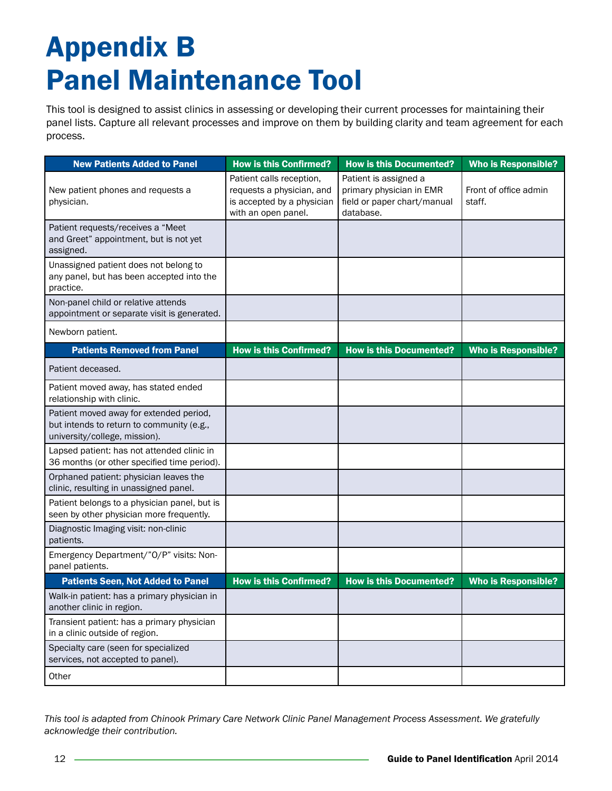## <span id="page-13-0"></span>Appendix B Panel Maintenance Tool

This tool is designed to assist clinics in assessing or developing their current processes for maintaining their panel lists. Capture all relevant processes and improve on them by building clarity and team agreement for each process.

| <b>New Patients Added to Panel</b>                                                                                    | <b>How is this Confirmed?</b>                                                                              | <b>How is this Documented?</b>                                                                | <b>Who is Responsible?</b>      |
|-----------------------------------------------------------------------------------------------------------------------|------------------------------------------------------------------------------------------------------------|-----------------------------------------------------------------------------------------------|---------------------------------|
| New patient phones and requests a<br>physician.                                                                       | Patient calls reception,<br>requests a physician, and<br>is accepted by a physician<br>with an open panel. | Patient is assigned a<br>primary physician in EMR<br>field or paper chart/manual<br>database. | Front of office admin<br>staff. |
| Patient requests/receives a "Meet<br>and Greet" appointment, but is not yet<br>assigned.                              |                                                                                                            |                                                                                               |                                 |
| Unassigned patient does not belong to<br>any panel, but has been accepted into the<br>practice.                       |                                                                                                            |                                                                                               |                                 |
| Non-panel child or relative attends<br>appointment or separate visit is generated.                                    |                                                                                                            |                                                                                               |                                 |
| Newborn patient.                                                                                                      |                                                                                                            |                                                                                               |                                 |
| <b>Patients Removed from Panel</b>                                                                                    | <b>How is this Confirmed?</b>                                                                              | <b>How is this Documented?</b>                                                                | <b>Who is Responsible?</b>      |
| Patient deceased.                                                                                                     |                                                                                                            |                                                                                               |                                 |
| Patient moved away, has stated ended<br>relationship with clinic.                                                     |                                                                                                            |                                                                                               |                                 |
| Patient moved away for extended period,<br>but intends to return to community (e.g.,<br>university/college, mission). |                                                                                                            |                                                                                               |                                 |
| Lapsed patient: has not attended clinic in<br>36 months (or other specified time period).                             |                                                                                                            |                                                                                               |                                 |
| Orphaned patient: physician leaves the<br>clinic, resulting in unassigned panel.                                      |                                                                                                            |                                                                                               |                                 |
| Patient belongs to a physician panel, but is<br>seen by other physician more frequently.                              |                                                                                                            |                                                                                               |                                 |
| Diagnostic Imaging visit: non-clinic<br>patients.                                                                     |                                                                                                            |                                                                                               |                                 |
| Emergency Department/"O/P" visits: Non-<br>panel patients.                                                            |                                                                                                            |                                                                                               |                                 |
| <b>Patients Seen, Not Added to Panel</b>                                                                              | <b>How is this Confirmed?</b>                                                                              | <b>How is this Documented?</b>                                                                | <b>Who is Responsible?</b>      |
| Walk-in patient: has a primary physician in<br>another clinic in region.                                              |                                                                                                            |                                                                                               |                                 |
| Transient patient: has a primary physician<br>in a clinic outside of region.                                          |                                                                                                            |                                                                                               |                                 |
| Specialty care (seen for specialized<br>services, not accepted to panel).                                             |                                                                                                            |                                                                                               |                                 |
| Other                                                                                                                 |                                                                                                            |                                                                                               |                                 |

*This tool is adapted from Chinook Primary Care Network Clinic Panel Management Process Assessment. We gratefully acknowledge their contribution.*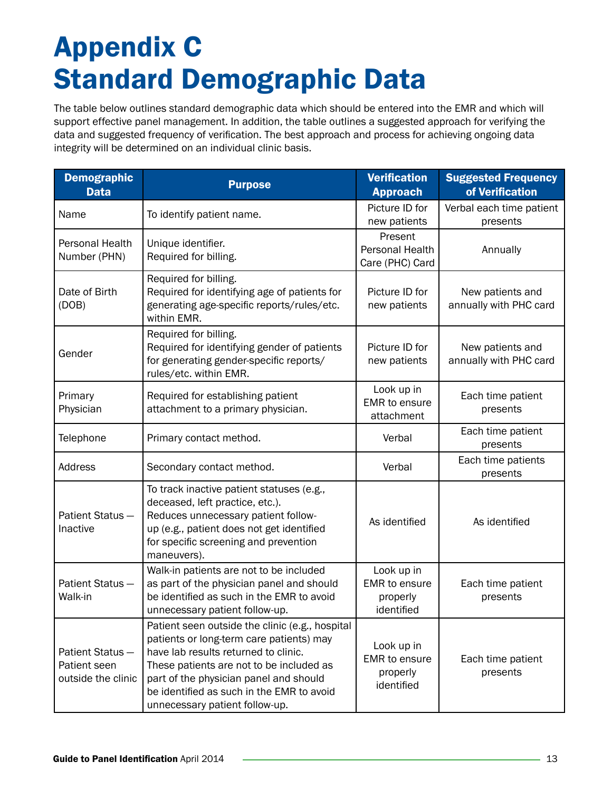## <span id="page-14-0"></span>Appendix C Standard Demographic Data

The table below outlines standard demographic data which should be entered into the EMR and which will support effective panel management. In addition, the table outlines a suggested approach for verifying the data and suggested frequency of verification. The best approach and process for achieving ongoing data integrity will be determined on an individual clinic basis.

| <b>Demographic</b><br><b>Data</b>                     | <b>Purpose</b>                                                                                                                                                                                                                                                                                           | <b>Verification</b><br><b>Approach</b>                       | <b>Suggested Frequency</b><br>of Verification |
|-------------------------------------------------------|----------------------------------------------------------------------------------------------------------------------------------------------------------------------------------------------------------------------------------------------------------------------------------------------------------|--------------------------------------------------------------|-----------------------------------------------|
| Name                                                  | To identify patient name.                                                                                                                                                                                                                                                                                | Picture ID for<br>new patients                               | Verbal each time patient<br>presents          |
| Personal Health<br>Number (PHN)                       | Unique identifier.<br>Required for billing.                                                                                                                                                                                                                                                              | Present<br>Personal Health<br>Care (PHC) Card                | Annually                                      |
| Date of Birth<br>(DOB)                                | Required for billing.<br>Required for identifying age of patients for<br>generating age-specific reports/rules/etc.<br>within EMR.                                                                                                                                                                       | Picture ID for<br>new patients                               | New patients and<br>annually with PHC card    |
| Gender                                                | Required for billing.<br>Required for identifying gender of patients<br>for generating gender-specific reports/<br>rules/etc. within EMR.                                                                                                                                                                | Picture ID for<br>new patients                               | New patients and<br>annually with PHC card    |
| Primary<br>Physician                                  | Required for establishing patient<br>attachment to a primary physician.                                                                                                                                                                                                                                  | Look up in<br><b>EMR</b> to ensure<br>attachment             | Each time patient<br>presents                 |
| Telephone                                             | Primary contact method.                                                                                                                                                                                                                                                                                  | Verbal                                                       | Each time patient<br>presents                 |
| Address                                               | Secondary contact method.                                                                                                                                                                                                                                                                                | Verbal                                                       | Each time patients<br>presents                |
| Patient Status-<br>Inactive                           | To track inactive patient statuses (e.g.,<br>deceased, left practice, etc.).<br>Reduces unnecessary patient follow-<br>up (e.g., patient does not get identified<br>for specific screening and prevention<br>maneuvers).                                                                                 | As identified                                                | As identified                                 |
| Patient Status-<br>Walk-in                            | Walk-in patients are not to be included<br>as part of the physician panel and should<br>be identified as such in the EMR to avoid<br>unnecessary patient follow-up.                                                                                                                                      | Look up in<br><b>EMR</b> to ensure<br>properly<br>identified | Each time patient<br>presents                 |
| Patient Status-<br>Patient seen<br>outside the clinic | Patient seen outside the clinic (e.g., hospital<br>patients or long-term care patients) may<br>have lab results returned to clinic.<br>These patients are not to be included as<br>part of the physician panel and should<br>be identified as such in the EMR to avoid<br>unnecessary patient follow-up. | Look up in<br>EMR to ensure<br>properly<br>identified        | Each time patient<br>presents                 |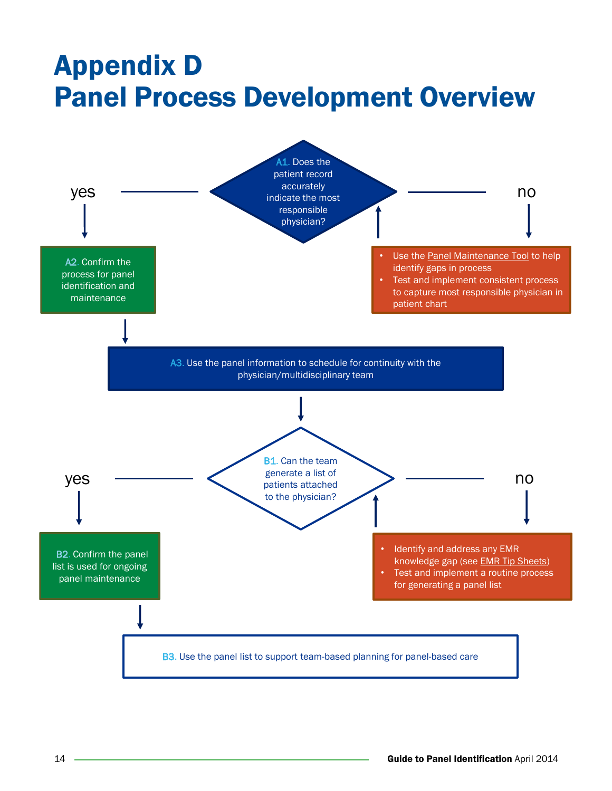### <span id="page-15-0"></span>Appendix D Panel Process Development Overview

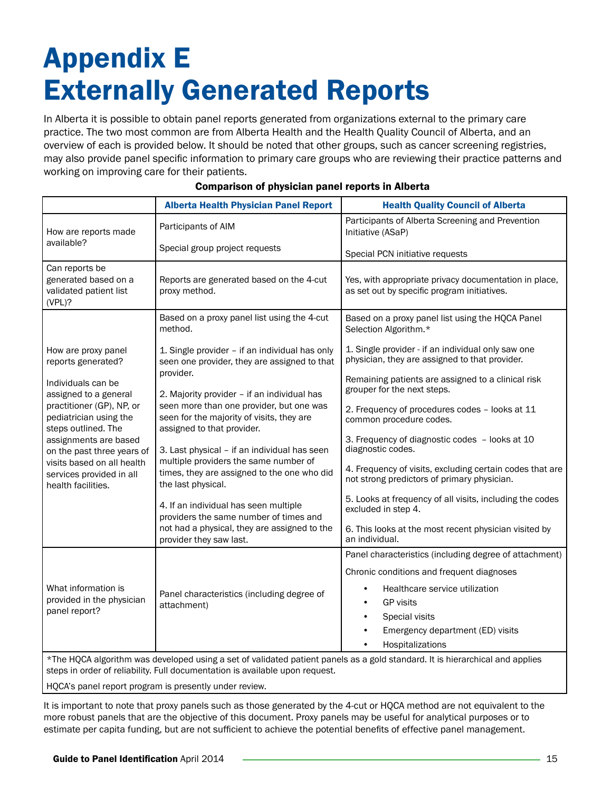### <span id="page-16-0"></span>Appendix E Externally Generated Reports

In Alberta it is possible to obtain panel reports generated from organizations external to the primary care practice. The two most common are from Alberta Health and the Health Quality Council of Alberta, and an overview of each is provided below. It should be noted that other groups, such as cancer screening registries, may also provide panel specific information to primary care groups who are reviewing their practice patterns and working on improving care for their patients.

|                                                                                                                                                                                                                   | <b>Alberta Health Physician Panel Report</b>                                                                                                                                                                                                                                      | <b>Health Quality Council of Alberta</b>                                                                |  |
|-------------------------------------------------------------------------------------------------------------------------------------------------------------------------------------------------------------------|-----------------------------------------------------------------------------------------------------------------------------------------------------------------------------------------------------------------------------------------------------------------------------------|---------------------------------------------------------------------------------------------------------|--|
| How are reports made                                                                                                                                                                                              | Participants of AIM                                                                                                                                                                                                                                                               | Participants of Alberta Screening and Prevention<br>Initiative (ASaP)                                   |  |
| available?                                                                                                                                                                                                        | Special group project requests                                                                                                                                                                                                                                                    | Special PCN initiative requests                                                                         |  |
| Can reports be<br>generated based on a<br>validated patient list<br>(VPL)?                                                                                                                                        | Reports are generated based on the 4-cut<br>proxy method.                                                                                                                                                                                                                         | Yes, with appropriate privacy documentation in place,<br>as set out by specific program initiatives.    |  |
|                                                                                                                                                                                                                   | Based on a proxy panel list using the 4-cut<br>method.                                                                                                                                                                                                                            | Based on a proxy panel list using the HQCA Panel<br>Selection Algorithm.*                               |  |
| How are proxy panel<br>reports generated?                                                                                                                                                                         | 1. Single provider - if an individual has only<br>seen one provider, they are assigned to that                                                                                                                                                                                    | 1. Single provider - if an individual only saw one<br>physician, they are assigned to that provider.    |  |
| Individuals can be<br>assigned to a general                                                                                                                                                                       | provider.<br>2. Majority provider - if an individual has                                                                                                                                                                                                                          | Remaining patients are assigned to a clinical risk<br>grouper for the next steps.                       |  |
| practitioner (GP), NP, or<br>pediatrician using the<br>steps outlined. The<br>assignments are based<br>on the past three years of<br>visits based on all health<br>services provided in all<br>health facilities. | seen more than one provider, but one was<br>seen for the majority of visits, they are<br>assigned to that provider.<br>3. Last physical - if an individual has seen<br>multiple providers the same number of<br>times, they are assigned to the one who did<br>the last physical. | 2. Frequency of procedures codes - looks at 11<br>common procedure codes.                               |  |
|                                                                                                                                                                                                                   |                                                                                                                                                                                                                                                                                   | 3. Frequency of diagnostic codes - looks at 10<br>diagnostic codes.                                     |  |
|                                                                                                                                                                                                                   |                                                                                                                                                                                                                                                                                   | 4. Frequency of visits, excluding certain codes that are<br>not strong predictors of primary physician. |  |
|                                                                                                                                                                                                                   | 4. If an individual has seen multiple<br>providers the same number of times and                                                                                                                                                                                                   | 5. Looks at frequency of all visits, including the codes<br>excluded in step 4.                         |  |
|                                                                                                                                                                                                                   | not had a physical, they are assigned to the<br>provider they saw last.                                                                                                                                                                                                           | 6. This looks at the most recent physician visited by<br>an individual.                                 |  |
|                                                                                                                                                                                                                   |                                                                                                                                                                                                                                                                                   | Panel characteristics (including degree of attachment)                                                  |  |
|                                                                                                                                                                                                                   |                                                                                                                                                                                                                                                                                   | Chronic conditions and frequent diagnoses                                                               |  |
| What information is                                                                                                                                                                                               | Panel characteristics (including degree of                                                                                                                                                                                                                                        | Healthcare service utilization                                                                          |  |
| provided in the physician<br>panel report?                                                                                                                                                                        | attachment)                                                                                                                                                                                                                                                                       | <b>GP</b> visits                                                                                        |  |
|                                                                                                                                                                                                                   |                                                                                                                                                                                                                                                                                   | Special visits                                                                                          |  |
|                                                                                                                                                                                                                   |                                                                                                                                                                                                                                                                                   | Emergency department (ED) visits                                                                        |  |
|                                                                                                                                                                                                                   |                                                                                                                                                                                                                                                                                   | Hospitalizations                                                                                        |  |
| *The HQCA algorithm was developed using a set of validated patient panels as a gold standard. It is hierarchical and applies<br>steps in order of reliability. Full documentation is available upon request.      |                                                                                                                                                                                                                                                                                   |                                                                                                         |  |

#### Comparison of physician panel reports in Alberta

HQCA's panel report program is presently under review.

It is important to note that proxy panels such as those generated by the 4-cut or HQCA method are not equivalent to the more robust panels that are the objective of this document. Proxy panels may be useful for analytical purposes or to estimate per capita funding, but are not sufficient to achieve the potential benefits of effective panel management.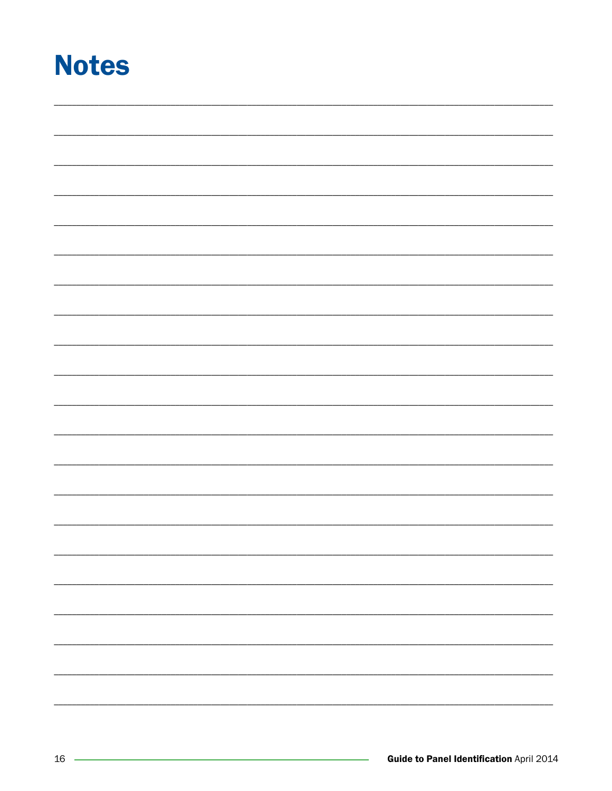### <span id="page-17-0"></span>**Notes**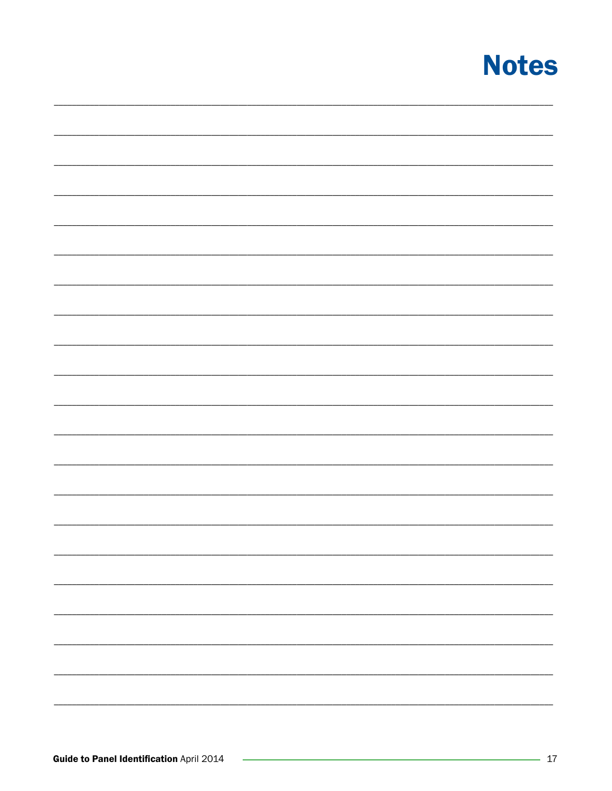### **Notes**